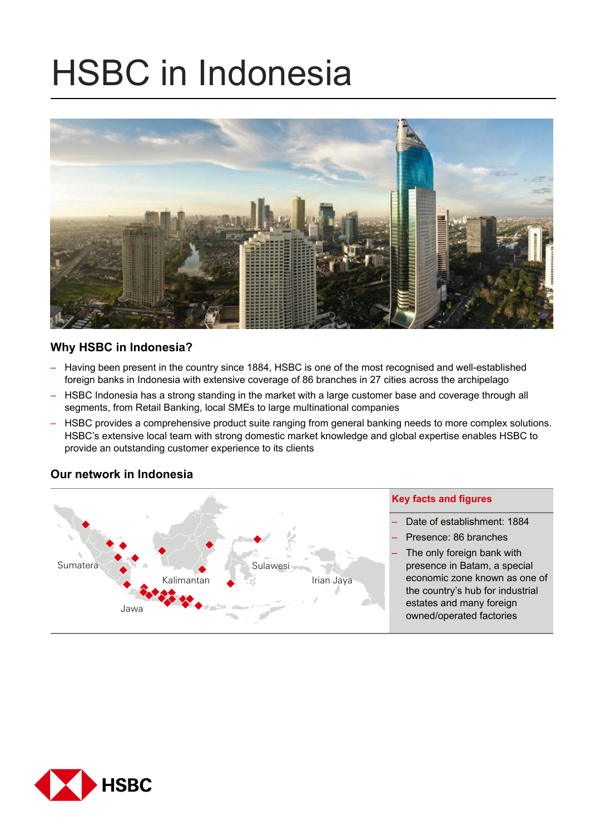# HSBC in Indonesia



## **Why HSBC in Indonesia?**

- Having been present in the country since 1884, HSBC is one of the most recognised and well-established foreign banks in Indonesia with extensive coverage of 86 branches in 27 cities across the archipelago
- HSBC Indonesia has a strong standing in the market with a large customer base and coverage through all segments, from Retail Banking, local SMEs to large multinational companies
- HSBC provides a comprehensive product suite ranging from general banking needs to more complex solutions. HSBC's extensive local team with strong domestic market knowledge and global expertise enables HSBC to provide an outstanding customer experience to its clients

#### **Key facts and figures**  – Date of establishment: 1884 – Presence: 86 branches The only foreign bank with presence in Batam, a special economic zone known as one of the country's hub for industrial estates and many foreign owned/operated factories Sumatera Jawa Kalimantan Sulawesi Irian Jaya

## **Our network in Indonesia**